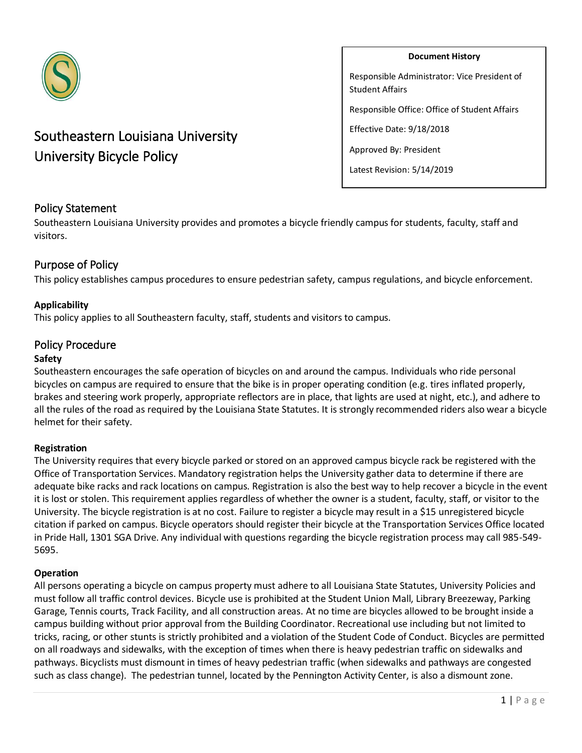

# Southeastern Louisiana University University Bicycle Policy

#### **Document History**

Responsible Administrator: Vice President of Student Affairs

Responsible Office: Office of Student Affairs

Effective Date: 9/18/2018

Approved By: President

Latest Revision: 5/14/2019

## Policy Statement

Southeastern Louisiana University provides and promotes a bicycle friendly campus for students, faculty, staff and visitors.

## Purpose of Policy

This policy establishes campus procedures to ensure pedestrian safety, campus regulations, and bicycle enforcement.

### **Applicability**

This policy applies to all Southeastern faculty, staff, students and visitors to campus.

## Policy Procedure

#### **Safety**

Southeastern encourages the safe operation of bicycles on and around the campus. Individuals who ride personal bicycles on campus are required to ensure that the bike is in proper operating condition (e.g. tires inflated properly, brakes and steering work properly, appropriate reflectors are in place, that lights are used at night, etc.), and adhere to all the rules of the road as required by the Louisiana State Statutes. It is strongly recommended riders also wear a bicycle helmet for their safety.

### **Registration**

The University requires that every bicycle parked or stored on an approved campus bicycle rack be registered with the Office of Transportation Services. Mandatory registration helps the University gather data to determine if there are adequate bike racks and rack locations on campus. Registration is also the best way to help recover a bicycle in the event it is lost or stolen. This requirement applies regardless of whether the owner is a student, faculty, staff, or visitor to the University. The bicycle registration is at no cost. Failure to register a bicycle may result in a \$15 unregistered bicycle citation if parked on campus. Bicycle operators should register their bicycle at the Transportation Services Office located in Pride Hall, 1301 SGA Drive. Any individual with questions regarding the bicycle registration process may call 985-549- 5695.

### **Operation**

All persons operating a bicycle on campus property must adhere to all Louisiana State Statutes, University Policies and must follow all traffic control devices. Bicycle use is prohibited at the Student Union Mall, Library Breezeway, Parking Garage, Tennis courts, Track Facility, and all construction areas. At no time are bicycles allowed to be brought inside a campus building without prior approval from the Building Coordinator. Recreational use including but not limited to tricks, racing, or other stunts is strictly prohibited and a violation of the Student Code of Conduct. Bicycles are permitted on all roadways and sidewalks, with the exception of times when there is heavy pedestrian traffic on sidewalks and pathways. Bicyclists must dismount in times of heavy pedestrian traffic (when sidewalks and pathways are congested such as class change). The pedestrian tunnel, located by the Pennington Activity Center, is also a dismount zone.